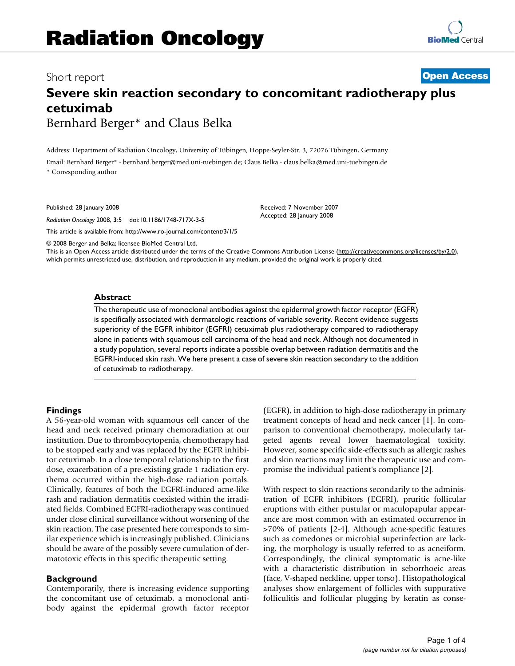## Short report **[Open Access](http://www.biomedcentral.com/info/about/charter/)**

# **Severe skin reaction secondary to concomitant radiotherapy plus cetuximab** Bernhard Berger\* and Claus Belka

Address: Department of Radiation Oncology, University of Tübingen, Hoppe-Seyler-Str. 3, 72076 Tübingen, Germany Email: Bernhard Berger\* - bernhard.berger@med.uni-tuebingen.de; Claus Belka - claus.belka@med.uni-tuebingen.de \* Corresponding author

Published: 28 January 2008

*Radiation Oncology* 2008, **3**:5 doi:10.1186/1748-717X-3-5

[This article is available from: http://www.ro-journal.com/content/3/1/5](http://www.ro-journal.com/content/3/1/5)

© 2008 Berger and Belka; licensee BioMed Central Ltd.

This is an Open Access article distributed under the terms of the Creative Commons Attribution License [\(http://creativecommons.org/licenses/by/2.0\)](http://creativecommons.org/licenses/by/2.0), which permits unrestricted use, distribution, and reproduction in any medium, provided the original work is properly cited.

Received: 7 November 2007 Accepted: 28 January 2008

#### **Abstract**

The therapeutic use of monoclonal antibodies against the epidermal growth factor receptor (EGFR) is specifically associated with dermatologic reactions of variable severity. Recent evidence suggests superiority of the EGFR inhibitor (EGFRI) cetuximab plus radiotherapy compared to radiotherapy alone in patients with squamous cell carcinoma of the head and neck. Although not documented in a study population, several reports indicate a possible overlap between radiation dermatitis and the EGFRI-induced skin rash. We here present a case of severe skin reaction secondary to the addition of cetuximab to radiotherapy.

#### **Findings**

A 56-year-old woman with squamous cell cancer of the head and neck received primary chemoradiation at our institution. Due to thrombocytopenia, chemotherapy had to be stopped early and was replaced by the EGFR inhibitor cetuximab. In a close temporal relationship to the first dose, exacerbation of a pre-existing grade 1 radiation erythema occurred within the high-dose radiation portals. Clinically, features of both the EGFRI-induced acne-like rash and radiation dermatitis coexisted within the irradiated fields. Combined EGFRI-radiotherapy was continued under close clinical surveillance without worsening of the skin reaction. The case presented here corresponds to similar experience which is increasingly published. Clinicians should be aware of the possibly severe cumulation of dermatotoxic effects in this specific therapeutic setting.

#### **Background**

Contemporarily, there is increasing evidence supporting the concomitant use of cetuximab, a monoclonal antibody against the epidermal growth factor receptor (EGFR), in addition to high-dose radiotherapy in primary treatment concepts of head and neck cancer [1]. In comparison to conventional chemotherapy, molecularly targeted agents reveal lower haematological toxicity. However, some specific side-effects such as allergic rashes and skin reactions may limit the therapeutic use and compromise the individual patient's compliance [2].

With respect to skin reactions secondarily to the administration of EGFR inhibitors (EGFRI), pruritic follicular eruptions with either pustular or maculopapular appearance are most common with an estimated occurrence in >70% of patients [2-4]. Although acne-specific features such as comedones or microbial superinfection are lacking, the morphology is usually referred to as acneiform. Correspondingly, the clinical symptomatic is acne-like with a characteristic distribution in seborrhoeic areas (face, V-shaped neckline, upper torso). Histopathological analyses show enlargement of follicles with suppurative folliculitis and follicular plugging by keratin as conse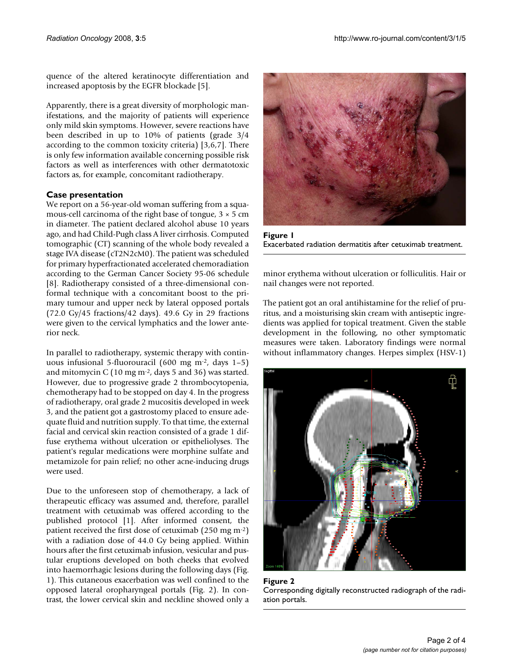quence of the altered keratinocyte differentiation and increased apoptosis by the EGFR blockade [5].

Apparently, there is a great diversity of morphologic manifestations, and the majority of patients will experience only mild skin symptoms. However, severe reactions have been described in up to 10% of patients (grade 3/4 according to the common toxicity criteria) [3,6,7]. There is only few information available concerning possible risk factors as well as interferences with other dermatotoxic factors as, for example, concomitant radiotherapy.

#### **Case presentation**

We report on a 56-year-old woman suffering from a squamous-cell carcinoma of the right base of tongue,  $3 \times 5$  cm in diameter. The patient declared alcohol abuse 10 years ago, and had Child-Pugh class A liver cirrhosis. Computed tomographic (CT) scanning of the whole body revealed a stage IVA disease (cT2N2cM0). The patient was scheduled for primary hyperfractionated accelerated chemoradiation according to the German Cancer Society 95-06 schedule [8]. Radiotherapy consisted of a three-dimensional conformal technique with a concomitant boost to the primary tumour and upper neck by lateral opposed portals  $(72.0 \text{ Gy}/45 \text{ fractions}/42 \text{ days})$ . 49.6 Gy in 29 fractions were given to the cervical lymphatics and the lower anterior neck.

In parallel to radiotherapy, systemic therapy with continuous infusional 5-fluorouracil (600 mg m-2, days 1–5) and mitomycin C (10 mg m-2, days 5 and 36) was started. However, due to progressive grade 2 thrombocytopenia, chemotherapy had to be stopped on day 4. In the progress of radiotherapy, oral grade 2 mucositis developed in week 3, and the patient got a gastrostomy placed to ensure adequate fluid and nutrition supply. To that time, the external facial and cervical skin reaction consisted of a grade 1 diffuse erythema without ulceration or epitheliolyses. The patient's regular medications were morphine sulfate and metamizole for pain relief; no other acne-inducing drugs were used.

Due to the unforeseen stop of chemotherapy, a lack of therapeutic efficacy was assumed and, therefore, parallel treatment with cetuximab was offered according to the published protocol [1]. After informed consent, the patient received the first dose of cetuximab (250 mg m-2) with a radiation dose of 44.0 Gy being applied. Within hours after the first cetuximab infusion, vesicular and pustular eruptions developed on both cheeks that evolved into haemorrhagic lesions during the following days (Fig. 1). This cutaneous exacerbation was well confined to the opposed lateral oropharyngeal portals (Fig. 2). In contrast, the lower cervical skin and neckline showed only a



Figure 1 Exacerbated radiation dermatitis after cetuximab treatment.

minor erythema without ulceration or folliculitis. Hair or nail changes were not reported.

The patient got an oral antihistamine for the relief of pruritus, and a moisturising skin cream with antiseptic ingredients was applied for topical treatment. Given the stable development in the following, no other symptomatic measures were taken. Laboratory findings were normal without inflammatory changes. Herpes simplex (HSV-1)



Figure 2 Corresponding digitally reconstructed radiograph of the radiation portals.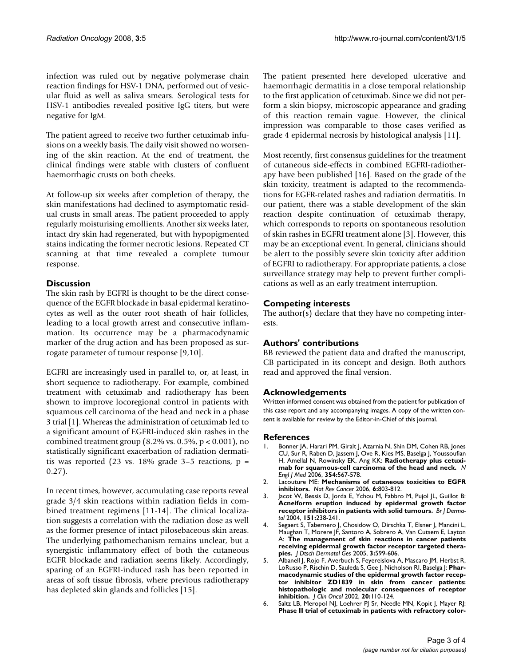infection was ruled out by negative polymerase chain reaction findings for HSV-1 DNA, performed out of vesicular fluid as well as saliva smears. Serological tests for HSV-1 antibodies revealed positive IgG titers, but were negative for IgM.

The patient agreed to receive two further cetuximab infusions on a weekly basis. The daily visit showed no worsening of the skin reaction. At the end of treatment, the clinical findings were stable with clusters of confluent haemorrhagic crusts on both cheeks.

At follow-up six weeks after completion of therapy, the skin manifestations had declined to asymptomatic residual crusts in small areas. The patient proceeded to apply regularly moisturising emollients. Another six weeks later, intact dry skin had regenerated, but with hypopigmented stains indicating the former necrotic lesions. Repeated CT scanning at that time revealed a complete tumour response.

### **Discussion**

The skin rash by EGFRI is thought to be the direct consequence of the EGFR blockade in basal epidermal keratinocytes as well as the outer root sheath of hair follicles, leading to a local growth arrest and consecutive inflammation. Its occurrence may be a pharmacodynamic marker of the drug action and has been proposed as surrogate parameter of tumour response [9,10].

EGFRI are increasingly used in parallel to, or, at least, in short sequence to radiotherapy. For example, combined treatment with cetuximab and radiotherapy has been shown to improve locoregional control in patients with squamous cell carcinoma of the head and neck in a phase 3 trial [1]. Whereas the administration of cetuximab led to a significant amount of EGFRI-induced skin rashes in the combined treatment group (8.2% vs.  $0.5\%$ , p <  $0.001$ ), no statistically significant exacerbation of radiation dermatitis was reported (23 vs. 18% grade 3-5 reactions,  $p =$ 0.27).

In recent times, however, accumulating case reports reveal grade 3/4 skin reactions within radiation fields in combined treatment regimens [11-14]. The clinical localization suggests a correlation with the radiation dose as well as the former presence of intact pilosebaceous skin areas. The underlying pathomechanism remains unclear, but a synergistic inflammatory effect of both the cutaneous EGFR blockade and radiation seems likely. Accordingly, sparing of an EGFRI-induced rash has been reported in areas of soft tissue fibrosis, where previous radiotherapy has depleted skin glands and follicles [15].

The patient presented here developed ulcerative and haemorrhagic dermatitis in a close temporal relationship to the first application of cetuximab. Since we did not perform a skin biopsy, microscopic appearance and grading of this reaction remain vague. However, the clinical impression was comparable to those cases verified as grade 4 epidermal necrosis by histological analysis [11].

Most recently, first consensus guidelines for the treatment of cutaneous side-effects in combined EGFRI-radiotherapy have been published [16]. Based on the grade of the skin toxicity, treatment is adapted to the recommendations for EGFR-related rashes and radiation dermatitis. In our patient, there was a stable development of the skin reaction despite continuation of cetuximab therapy, which corresponds to reports on spontaneous resolution of skin rashes in EGFRI treatment alone [3]. However, this may be an exceptional event. In general, clinicians should be alert to the possibly severe skin toxicity after addition of EGFRI to radiotherapy. For appropriate patients, a close surveillance strategy may help to prevent further complications as well as an early treatment interruption.

### **Competing interests**

The author(s) declare that they have no competing interests.

#### **Authors' contributions**

BB reviewed the patient data and drafted the manuscript, CB participated in its concept and design. Both authors read and approved the final version.

#### **Acknowledgements**

Written informed consent was obtained from the patient for publication of this case report and any accompanying images. A copy of the written consent is available for review by the Editor-in-Chief of this journal.

#### **References**

- Bonner JA, Harari PM, Giralt J, Azarnia N, Shin DM, Cohen RB, Jones CU, Sur R, Raben D, Jassem J, Ove R, Kies MS, Baselga J, Youssoufian H, Amellal N, Rowinsky EK, Ang KK: **[Radiotherapy plus cetuxi](http://www.ncbi.nlm.nih.gov/entrez/query.fcgi?cmd=Retrieve&db=PubMed&dopt=Abstract&list_uids=16467544)[mab for squamous-cell carcinoma of the head and neck.](http://www.ncbi.nlm.nih.gov/entrez/query.fcgi?cmd=Retrieve&db=PubMed&dopt=Abstract&list_uids=16467544)** *N Engl J Med* 2006, **354:**567-578.
- 2. Lacouture ME: **[Mechanisms of cutaneous toxicities to EGFR](http://www.ncbi.nlm.nih.gov/entrez/query.fcgi?cmd=Retrieve&db=PubMed&dopt=Abstract&list_uids=16990857) [inhibitors.](http://www.ncbi.nlm.nih.gov/entrez/query.fcgi?cmd=Retrieve&db=PubMed&dopt=Abstract&list_uids=16990857)** *Nat Rev Cancer* 2006, **6:**803-812.
- 3. Jacot W, Bessis D, Jorda E, Ychou M, Fabbro M, Pujol JL, Guillot B: **[Acneiform eruption induced by epidermal growth factor](http://www.ncbi.nlm.nih.gov/entrez/query.fcgi?cmd=Retrieve&db=PubMed&dopt=Abstract&list_uids=15270903) [receptor inhibitors in patients with solid tumours.](http://www.ncbi.nlm.nih.gov/entrez/query.fcgi?cmd=Retrieve&db=PubMed&dopt=Abstract&list_uids=15270903)** *Br J Dermatol* 2004, **151:**238-241.
- 4. Segaert S, Tabernero J, Chosidow O, Dirschka T, Elsner J, Mancini L, Maughan T, Morere JF, Santoro A, Sobrero A, Van Cutsem E, Layton A: **[The management of skin reactions in cancer patients](http://www.ncbi.nlm.nih.gov/entrez/query.fcgi?cmd=Retrieve&db=PubMed&dopt=Abstract&list_uids=16033478) [receiving epidermal growth factor receptor targeted thera](http://www.ncbi.nlm.nih.gov/entrez/query.fcgi?cmd=Retrieve&db=PubMed&dopt=Abstract&list_uids=16033478)[pies.](http://www.ncbi.nlm.nih.gov/entrez/query.fcgi?cmd=Retrieve&db=PubMed&dopt=Abstract&list_uids=16033478)** *J Dtsch Dermatol Ges* 2005, **3:**599-606.
- 5. Albanell J, Rojo F, Averbuch S, Feyereislova A, Mascaro JM, Herbst R, LoRusso P, Rischin D, Sauleda S, Gee J, Nicholson RI, Baselga J: **[Phar](http://www.ncbi.nlm.nih.gov/entrez/query.fcgi?cmd=Retrieve&db=PubMed&dopt=Abstract&list_uids=11773160)macodynamic studies of the epidermal growth factor recep[tor inhibitor ZD1839 in skin from cancer patients:](http://www.ncbi.nlm.nih.gov/entrez/query.fcgi?cmd=Retrieve&db=PubMed&dopt=Abstract&list_uids=11773160) histopathologic and molecular consequences of receptor [inhibition.](http://www.ncbi.nlm.nih.gov/entrez/query.fcgi?cmd=Retrieve&db=PubMed&dopt=Abstract&list_uids=11773160)** *J Clin Oncol* 2002, **20:**110-124.
- 6. Saltz LB, Meropol NJ, Loehrer PJ Sr, Needle MN, Kopit J, Mayer RJ: **[Phase II trial of cetuximab in patients with refractory color](http://www.ncbi.nlm.nih.gov/entrez/query.fcgi?cmd=Retrieve&db=PubMed&dopt=Abstract&list_uids=14993230)-**